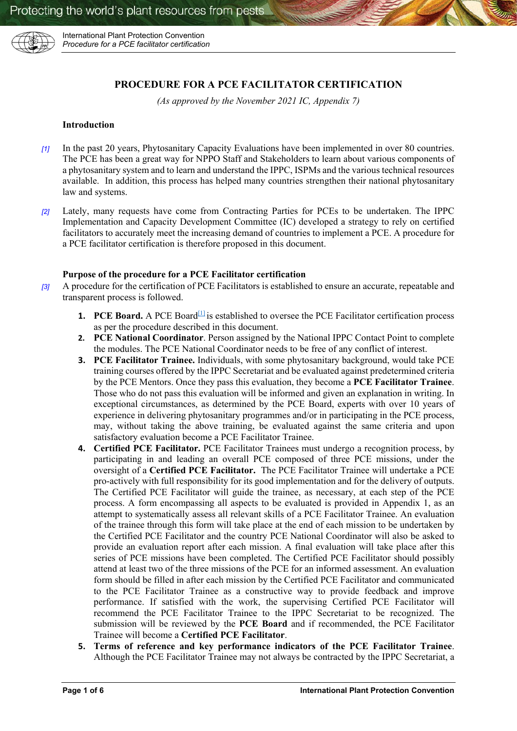

International Plant Protection Convention *Procedure for a PCE facilitator certification*

### **PROCEDURE FOR A PCE FACILITATOR CERTIFICATION**

*(As approved by the November 2021 IC, Appendix 7)*

#### **Introduction**

- *[1]* In the past 20 years, Phytosanitary Capacity Evaluations have been implemented in over 80 countries. The PCE has been a great way for NPPO Staff and Stakeholders to learn about various components of a phytosanitary system and to learn and understand the IPPC, ISPMs and the various technical resources available. In addition, this process has helped many countries strengthen their national phytosanitary law and systems.
- *[2]* Lately, many requests have come from Contracting Parties for PCEs to be undertaken. The IPPC Implementation and Capacity Development Committee (IC) developed a strategy to rely on certified facilitators to accurately meet the increasing demand of countries to implement a PCE. A procedure for a PCE facilitator certification is therefore proposed in this document.

#### **Purpose of the procedure for a PCE Facilitator certification**

- *[3]* A procedure for the certification of PCE Facilitators is established to ensure an accurate, repeatable and transparent process is followed.
	- **1. PCE Board.** A PCE Board<sup>[\[1\]](https://euc-word-edit.officeapps.live.com/we/wordeditorframe.aspx?ui=en%2DUS&rs=en%2DUS&wopisrc=https%3A%2F%2Funfao.sharepoint.com%2Fsites%2FIPPC%2F_vti_bin%2Fwopi.ashx%2Ffiles%2Ff1ef10c04834446abe8ce23c9d2bb1b3&wdenableroaming=1&mscc=1&hid=EDA916A0-60DA-3000-8417-8FF461762A4C&wdorigin=ItemsView&wdhostclicktime=1642161372691&jsapi=1&jsapiver=v1&newsession=1&corrid=d6bbd8ad-63cf-0233-808d-909998ab44b5&usid=d6bbd8ad-63cf-0233-808d-909998ab44b5&sftc=1&mtf=1&sfp=1&instantedit=1&wopicomplete=1&wdredirectionreason=Unified_SingleFlush&preseededsessionkey=abd9b0b5-2c2b-787e-fa0e-87afc27aab03&preseededwacsessionid=d6bbd8ad-63cf-0233-808d-909998ab44b5&rct=Medium&ctp=LeastProtected#_ftn1)</sup> is established to oversee the PCE Facilitator certification process as per the procedure described in this document.
	- **2. PCE National Coordinator**. Person assigned by the National IPPC Contact Point to complete the modules. The PCE National Coordinator needs to be free of any conflict of interest.
	- **3. PCE Facilitator Trainee.** Individuals, with some phytosanitary background, would take PCE training courses offered by the IPPC Secretariat and be evaluated against predetermined criteria by the PCE Mentors. Once they pass this evaluation, they become a **PCE Facilitator Trainee**. Those who do not pass this evaluation will be informed and given an explanation in writing. In exceptional circumstances, as determined by the PCE Board, experts with over 10 years of experience in delivering phytosanitary programmes and/or in participating in the PCE process, may, without taking the above training, be evaluated against the same criteria and upon satisfactory evaluation become a PCE Facilitator Trainee.
	- **4. Certified PCE Facilitator.** PCE Facilitator Trainees must undergo a recognition process, by participating in and leading an overall PCE composed of three PCE missions, under the oversight of a **Certified PCE Facilitator.** The PCE Facilitator Trainee will undertake a PCE pro-actively with full responsibility for its good implementation and for the delivery of outputs. The Certified PCE Facilitator will guide the trainee, as necessary, at each step of the PCE process. A form encompassing all aspects to be evaluated is provided in Appendix 1, as an attempt to systematically assess all relevant skills of a PCE Facilitator Trainee. An evaluation of the trainee through this form will take place at the end of each mission to be undertaken by the Certified PCE Facilitator and the country PCE National Coordinator will also be asked to provide an evaluation report after each mission. A final evaluation will take place after this series of PCE missions have been completed. The Certified PCE Facilitator should possibly attend at least two of the three missions of the PCE for an informed assessment. An evaluation form should be filled in after each mission by the Certified PCE Facilitator and communicated to the PCE Facilitator Trainee as a constructive way to provide feedback and improve performance. If satisfied with the work, the supervising Certified PCE Facilitator will recommend the PCE Facilitator Trainee to the IPPC Secretariat to be recognized. The submission will be reviewed by the **PCE Board** and if recommended, the PCE Facilitator Trainee will become a **Certified PCE Facilitator**.
	- **5. Terms of reference and key performance indicators of the PCE Facilitator Trainee**. Although the PCE Facilitator Trainee may not always be contracted by the IPPC Secretariat, a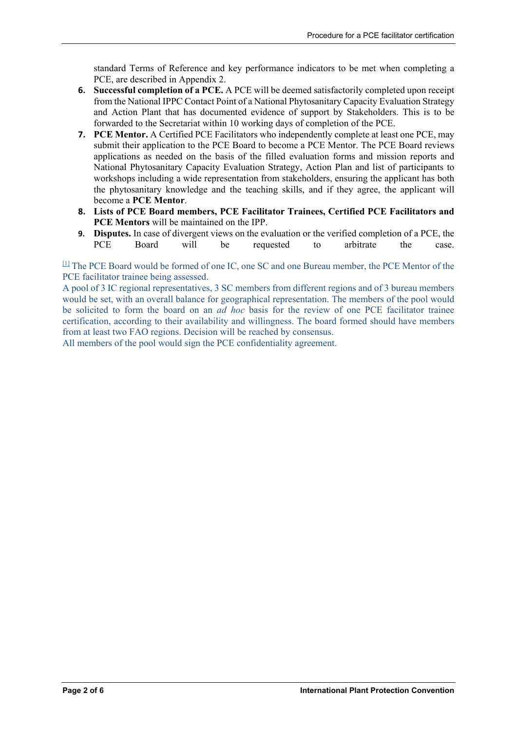standard Terms of Reference and key performance indicators to be met when completing a PCE, are described in Appendix 2.

- **6. Successful completion of a PCE.** A PCE will be deemed satisfactorily completed upon receipt from the National IPPC Contact Point of a National Phytosanitary Capacity Evaluation Strategy and Action Plant that has documented evidence of support by Stakeholders. This is to be forwarded to the Secretariat within 10 working days of completion of the PCE.
- **7. PCE Mentor.** A Certified PCE Facilitators who independently complete at least one PCE, may submit their application to the PCE Board to become a PCE Mentor. The PCE Board reviews applications as needed on the basis of the filled evaluation forms and mission reports and National Phytosanitary Capacity Evaluation Strategy, Action Plan and list of participants to workshops including a wide representation from stakeholders, ensuring the applicant has both the phytosanitary knowledge and the teaching skills, and if they agree, the applicant will become a **PCE Mentor**.
- **8. Lists of PCE Board members, PCE Facilitator Trainees, Certified PCE Facilitators and PCE Mentors** will be maintained on the IPP.
- **9. Disputes.** In case of divergent views on the evaluation or the verified completion of a PCE, the PCE Board will be requested to arbitrate the case PCE Board will be requested to arbitrate the case.

[\[1\]](https://euc-word-edit.officeapps.live.com/we/wordeditorframe.aspx?ui=en%2DUS&rs=en%2DUS&wopisrc=https%3A%2F%2Funfao.sharepoint.com%2Fsites%2FIPPC%2F_vti_bin%2Fwopi.ashx%2Ffiles%2Ff1ef10c04834446abe8ce23c9d2bb1b3&wdenableroaming=1&mscc=1&hid=EDA916A0-60DA-3000-8417-8FF461762A4C&wdorigin=ItemsView&wdhostclicktime=1642161372691&jsapi=1&jsapiver=v1&newsession=1&corrid=d6bbd8ad-63cf-0233-808d-909998ab44b5&usid=d6bbd8ad-63cf-0233-808d-909998ab44b5&sftc=1&mtf=1&sfp=1&instantedit=1&wopicomplete=1&wdredirectionreason=Unified_SingleFlush&preseededsessionkey=abd9b0b5-2c2b-787e-fa0e-87afc27aab03&preseededwacsessionid=d6bbd8ad-63cf-0233-808d-909998ab44b5&rct=Medium&ctp=LeastProtected#_ftnref1) The PCE Board would be formed of one IC, one SC and one Bureau member, the PCE Mentor of the PCE facilitator trainee being assessed.

A pool of 3 IC regional representatives, 3 SC members from different regions and of 3 bureau members would be set, with an overall balance for geographical representation. The members of the pool would be solicited to form the board on an *ad hoc* basis for the review of one PCE facilitator trainee certification, according to their availability and willingness. The board formed should have members from at least two FAO regions. Decision will be reached by consensus.

All members of the pool would sign the PCE confidentiality agreement.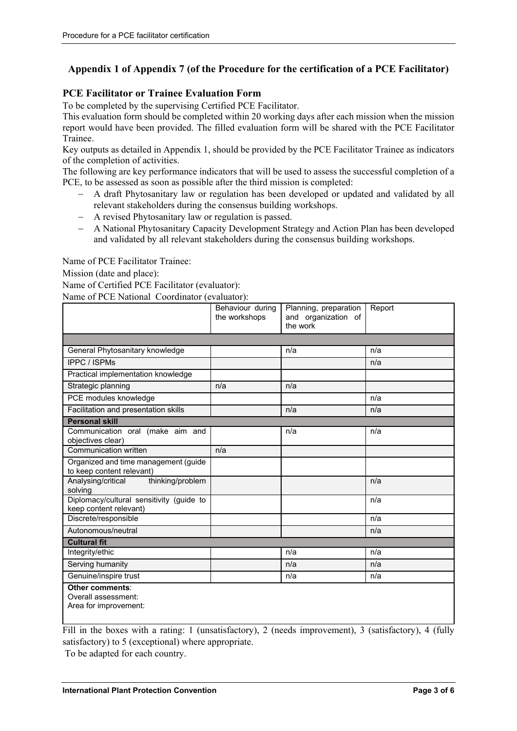# **Appendix 1 of Appendix 7 (of the Procedure for the certification of a PCE Facilitator)**

### **PCE Facilitator or Trainee Evaluation Form**

To be completed by the supervising Certified PCE Facilitator.

This evaluation form should be completed within 20 working days after each mission when the mission report would have been provided. The filled evaluation form will be shared with the PCE Facilitator Trainee.

Key outputs as detailed in Appendix 1, should be provided by the PCE Facilitator Trainee as indicators of the completion of activities.

The following are key performance indicators that will be used to assess the successful completion of a PCE, to be assessed as soon as possible after the third mission is completed:

- − A draft Phytosanitary law or regulation has been developed or updated and validated by all relevant stakeholders during the consensus building workshops.
- − A revised Phytosanitary law or regulation is passed.
- − A National Phytosanitary Capacity Development Strategy and Action Plan has been developed and validated by all relevant stakeholders during the consensus building workshops.

Name of PCE Facilitator Trainee:

Mission (date and place):

Name of Certified PCE Facilitator (evaluator):

Name of PCE National Coordinator (evaluator):

|                                                                    | Behaviour during<br>the workshops | Planning, preparation<br>and organization of<br>the work | Report |
|--------------------------------------------------------------------|-----------------------------------|----------------------------------------------------------|--------|
|                                                                    |                                   |                                                          |        |
| General Phytosanitary knowledge                                    |                                   | n/a                                                      | n/a    |
| <b>IPPC / ISPMs</b>                                                |                                   |                                                          | n/a    |
| Practical implementation knowledge                                 |                                   |                                                          |        |
| Strategic planning                                                 | n/a                               | n/a                                                      |        |
| PCE modules knowledge                                              |                                   |                                                          | n/a    |
| Facilitation and presentation skills                               |                                   | n/a                                                      | n/a    |
| <b>Personal skill</b>                                              |                                   |                                                          |        |
| Communication oral (make aim and<br>objectives clear)              |                                   | n/a                                                      | n/a    |
| Communication written                                              | n/a                               |                                                          |        |
| Organized and time management (guide<br>to keep content relevant)  |                                   |                                                          |        |
| Analysing/critical<br>thinking/problem<br>solving                  |                                   |                                                          | n/a    |
| Diplomacy/cultural sensitivity (guide to<br>keep content relevant) |                                   |                                                          | n/a    |
| Discrete/responsible                                               |                                   |                                                          | n/a    |
| Autonomous/neutral                                                 |                                   |                                                          | n/a    |
| <b>Cultural fit</b>                                                |                                   |                                                          |        |
| Integrity/ethic                                                    |                                   | n/a                                                      | n/a    |
| Serving humanity                                                   |                                   | n/a                                                      | n/a    |
| Genuine/inspire trust                                              |                                   | n/a                                                      | n/a    |
| Other comments:<br>Overall assessment:<br>Area for improvement:    |                                   |                                                          |        |

Fill in the boxes with a rating: 1 (unsatisfactory), 2 (needs improvement), 3 (satisfactory), 4 (fully satisfactory) to 5 (exceptional) where appropriate.

To be adapted for each country.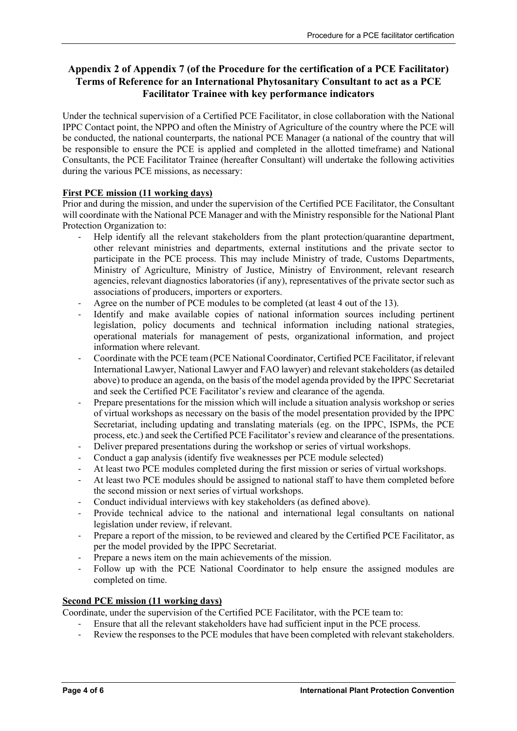# **Appendix 2 of Appendix 7 (of the Procedure for the certification of a PCE Facilitator) Terms of Reference for an International Phytosanitary Consultant to act as a PCE Facilitator Trainee with key performance indicators**

Under the technical supervision of a Certified PCE Facilitator, in close collaboration with the National IPPC Contact point, the NPPO and often the Ministry of Agriculture of the country where the PCE will be conducted, the national counterparts, the national PCE Manager (a national of the country that will be responsible to ensure the PCE is applied and completed in the allotted timeframe) and National Consultants, the PCE Facilitator Trainee (hereafter Consultant) will undertake the following activities during the various PCE missions, as necessary:

## **First PCE mission (11 working days)**

Prior and during the mission, and under the supervision of the Certified PCE Facilitator, the Consultant will coordinate with the National PCE Manager and with the Ministry responsible for the National Plant Protection Organization to:

- Help identify all the relevant stakeholders from the plant protection/quarantine department, other relevant ministries and departments, external institutions and the private sector to participate in the PCE process. This may include Ministry of trade, Customs Departments, Ministry of Agriculture, Ministry of Justice, Ministry of Environment, relevant research agencies, relevant diagnostics laboratories (if any), representatives of the private sector such as associations of producers, importers or exporters.
- Agree on the number of PCE modules to be completed (at least 4 out of the 13).
- Identify and make available copies of national information sources including pertinent legislation, policy documents and technical information including national strategies, operational materials for management of pests, organizational information, and project information where relevant.
- Coordinate with the PCE team (PCE National Coordinator, Certified PCE Facilitator, if relevant International Lawyer, National Lawyer and FAO lawyer) and relevant stakeholders (as detailed above) to produce an agenda, on the basis of the model agenda provided by the IPPC Secretariat and seek the Certified PCE Facilitator's review and clearance of the agenda.
- Prepare presentations for the mission which will include a situation analysis workshop or series of virtual workshops as necessary on the basis of the model presentation provided by the IPPC Secretariat, including updating and translating materials (eg. on the IPPC, ISPMs, the PCE process, etc.) and seek the Certified PCE Facilitator's review and clearance of the presentations.
- Deliver prepared presentations during the workshop or series of virtual workshops.
- Conduct a gap analysis (identify five weaknesses per PCE module selected)
- At least two PCE modules completed during the first mission or series of virtual workshops.
- At least two PCE modules should be assigned to national staff to have them completed before the second mission or next series of virtual workshops.
- Conduct individual interviews with key stakeholders (as defined above).
- Provide technical advice to the national and international legal consultants on national legislation under review, if relevant.
- Prepare a report of the mission, to be reviewed and cleared by the Certified PCE Facilitator, as per the model provided by the IPPC Secretariat.
- Prepare a news item on the main achievements of the mission.
- Follow up with the PCE National Coordinator to help ensure the assigned modules are completed on time.

## **Second PCE mission (11 working days)**

Coordinate, under the supervision of the Certified PCE Facilitator, with the PCE team to:

- Ensure that all the relevant stakeholders have had sufficient input in the PCE process.
- Review the responses to the PCE modules that have been completed with relevant stakeholders.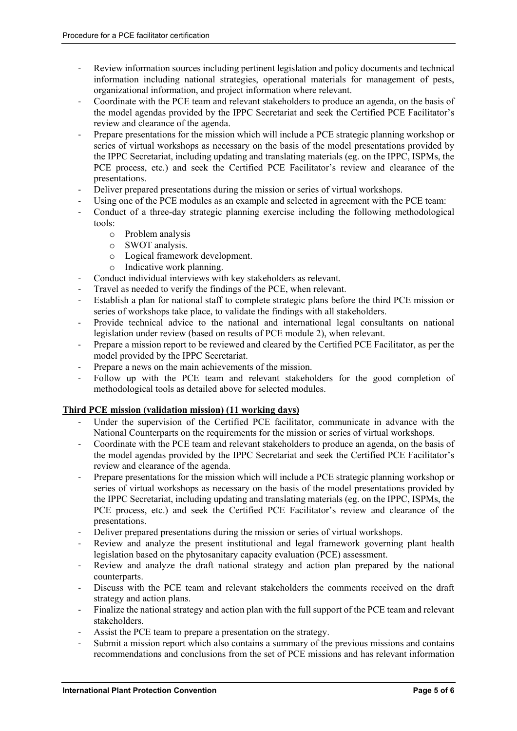- Review information sources including pertinent legislation and policy documents and technical information including national strategies, operational materials for management of pests, organizational information, and project information where relevant.
- Coordinate with the PCE team and relevant stakeholders to produce an agenda, on the basis of the model agendas provided by the IPPC Secretariat and seek the Certified PCE Facilitator's review and clearance of the agenda.
- Prepare presentations for the mission which will include a PCE strategic planning workshop or series of virtual workshops as necessary on the basis of the model presentations provided by the IPPC Secretariat, including updating and translating materials (eg. on the IPPC, ISPMs, the PCE process, etc.) and seek the Certified PCE Facilitator's review and clearance of the presentations.
- Deliver prepared presentations during the mission or series of virtual workshops.
- Using one of the PCE modules as an example and selected in agreement with the PCE team:
- Conduct of a three-day strategic planning exercise including the following methodological tools:
	- o Problem analysis
	- o SWOT analysis.
	- o Logical framework development.
	- o Indicative work planning.
- Conduct individual interviews with key stakeholders as relevant.
- Travel as needed to verify the findings of the PCE, when relevant.
- Establish a plan for national staff to complete strategic plans before the third PCE mission or series of workshops take place, to validate the findings with all stakeholders.
- Provide technical advice to the national and international legal consultants on national legislation under review (based on results of PCE module 2), when relevant.
- Prepare a mission report to be reviewed and cleared by the Certified PCE Facilitator, as per the model provided by the IPPC Secretariat.
- Prepare a news on the main achievements of the mission.
- Follow up with the PCE team and relevant stakeholders for the good completion of methodological tools as detailed above for selected modules.

### **Third PCE mission (validation mission) (11 working days)**

- Under the supervision of the Certified PCE facilitator, communicate in advance with the National Counterparts on the requirements for the mission or series of virtual workshops.
- Coordinate with the PCE team and relevant stakeholders to produce an agenda, on the basis of the model agendas provided by the IPPC Secretariat and seek the Certified PCE Facilitator's review and clearance of the agenda.
- Prepare presentations for the mission which will include a PCE strategic planning workshop or series of virtual workshops as necessary on the basis of the model presentations provided by the IPPC Secretariat, including updating and translating materials (eg. on the IPPC, ISPMs, the PCE process, etc.) and seek the Certified PCE Facilitator's review and clearance of the presentations.
- Deliver prepared presentations during the mission or series of virtual workshops.
- Review and analyze the present institutional and legal framework governing plant health legislation based on the phytosanitary capacity evaluation (PCE) assessment.
- Review and analyze the draft national strategy and action plan prepared by the national counterparts.
- Discuss with the PCE team and relevant stakeholders the comments received on the draft strategy and action plans.
- Finalize the national strategy and action plan with the full support of the PCE team and relevant stakeholders.
- Assist the PCE team to prepare a presentation on the strategy.
- Submit a mission report which also contains a summary of the previous missions and contains recommendations and conclusions from the set of PCE missions and has relevant information